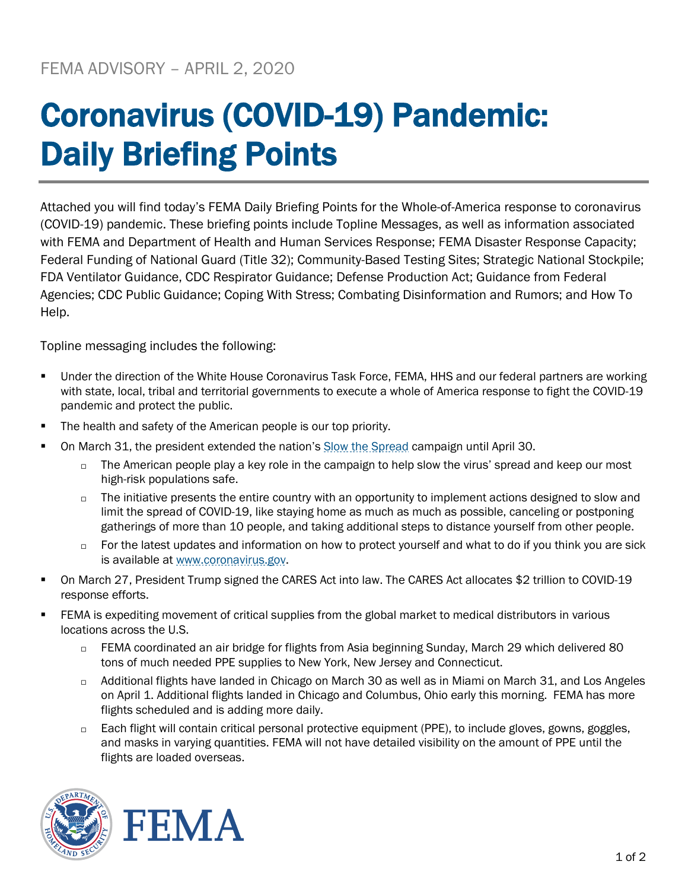## Coronavirus (COVID-19) Pandemic: Daily Briefing Points

Attached you will find today's FEMA Daily Briefing Points for the Whole-of-America response to coronavirus (COVID-19) pandemic. These briefing points include Topline Messages, as well as information associated with FEMA and Department of Health and Human Services Response; FEMA Disaster Response Capacity; Federal Funding of National Guard (Title 32); Community-Based Testing Sites; Strategic National Stockpile; FDA Ventilator Guidance, CDC Respirator Guidance; Defense Production Act; Guidance from Federal Agencies; CDC Public Guidance; Coping With Stress; Combating Disinformation and Rumors; and How To Help.

Topline messaging includes the following:

- Under the direction of the White House Coronavirus Task Force, FEMA, HHS and our federal partners are working with state, local, tribal and territorial governments to execute a whole of America response to fight the COVID-19 pandemic and protect the public.
- The health and safety of the American people is our top priority.
- On March 31, the president extended the nation's [Slow the Spread](https://www.coronavirus.gov/) campaign until April 30.
	- $\Box$  The American people play a key role in the campaign to help slow the virus' spread and keep our most high-risk populations safe.
	- $\Box$  The initiative presents the entire country with an opportunity to implement actions designed to slow and limit the spread of COVID-19, like staying home as much as much as possible, canceling or postponing gatherings of more than 10 people, and taking additional steps to distance yourself from other people.
	- $\Box$  For the latest updates and information on how to protect yourself and what to do if you think you are sick is available a[t www.coronavirus.gov.](http://www.coronavirus.gov/)
- On March 27, President Trump signed the CARES Act into law. The CARES Act allocates \$2 trillion to COVID-19 response efforts.
- **FEMA** is expediting movement of critical supplies from the global market to medical distributors in various locations across the U.S.
	- FEMA coordinated an air bridge for flights from Asia beginning Sunday, March 29 which delivered 80 tons of much needed PPE supplies to New York, New Jersey and Connecticut.
	- □ Additional flights have landed in Chicago on March 30 as well as in Miami on March 31, and Los Angeles on April 1. Additional flights landed in Chicago and Columbus, Ohio early this morning. FEMA has more flights scheduled and is adding more daily.
	- □ Each flight will contain critical personal protective equipment (PPE), to include gloves, gowns, goggles, and masks in varying quantities. FEMA will not have detailed visibility on the amount of PPE until the flights are loaded overseas.